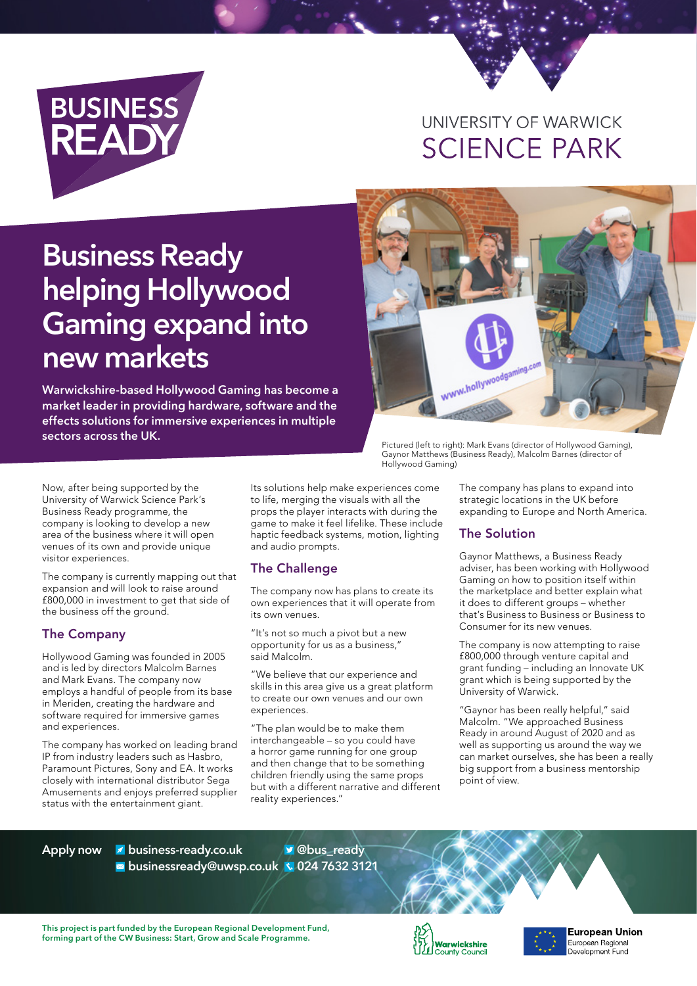

# UNIVERSITY OF WARWICK **SCIENCE PARK**

# **Business Ready helping Hollywood Gaming expand into new markets**

**Warwickshire-based Hollywood Gaming has become a market leader in providing hardware, software and the effects solutions for immersive experiences in multiple sectors across the UK.**



Pictured (left to right): Mark Evans (director of Hollywood Gaming), Gaynor Matthews (Business Ready), Malcolm Barnes (director of Hollywood Gaming)

Now, after being supported by the University of Warwick Science Park's Business Ready programme, the company is looking to develop a new area of the business where it will open venues of its own and provide unique visitor experiences.

The company is currently mapping out that expansion and will look to raise around £800,000 in investment to get that side of the business off the ground.

### The Company

Hollywood Gaming was founded in 2005 and is led by directors Malcolm Barnes and Mark Evans. The company now employs a handful of people from its base in Meriden, creating the hardware and software required for immersive games and experiences.

The company has worked on leading brand IP from industry leaders such as Hasbro, Paramount Pictures, Sony and EA. It works closely with international distributor Sega Amusements and enjoys preferred supplier status with the entertainment giant.

Its solutions help make experiences come to life, merging the visuals with all the props the player interacts with during the game to make it feel lifelike. These include haptic feedback systems, motion, lighting and audio prompts.

# The Challenge

The company now has plans to create its own experiences that it will operate from its own venues.

"It's not so much a pivot but a new opportunity for us as a business," said Malcolm.

"We believe that our experience and skills in this area give us a great platform to create our own venues and our own experiences.

"The plan would be to make them interchangeable – so you could have a horror game running for one group and then change that to be something children friendly using the same props but with a different narrative and different reality experiences."

The company has plans to expand into strategic locations in the UK before expanding to Europe and North America.

### The Solution

Gaynor Matthews, a Business Ready adviser, has been working with Hollywood Gaming on how to position itself within the marketplace and better explain what it does to different groups – whether that's Business to Business or Business to Consumer for its new venues.

The company is now attempting to raise £800,000 through venture capital and grant funding – including an Innovate UK grant which is being supported by the University of Warwick.

"Gaynor has been really helpful," said Malcolm. "We approached Business Ready in around August of 2020 and as well as supporting us around the way we can market ourselves, she has been a really big support from a business mentorship point of view.

**Apply now business-ready.co.uk businessready@uwsp.co.uk 024 7632 3121 @bus\_ready**

**This project is part funded by the European Regional Development Fund, forming part of the CW Business: Start, Grow and Scale Programme.**